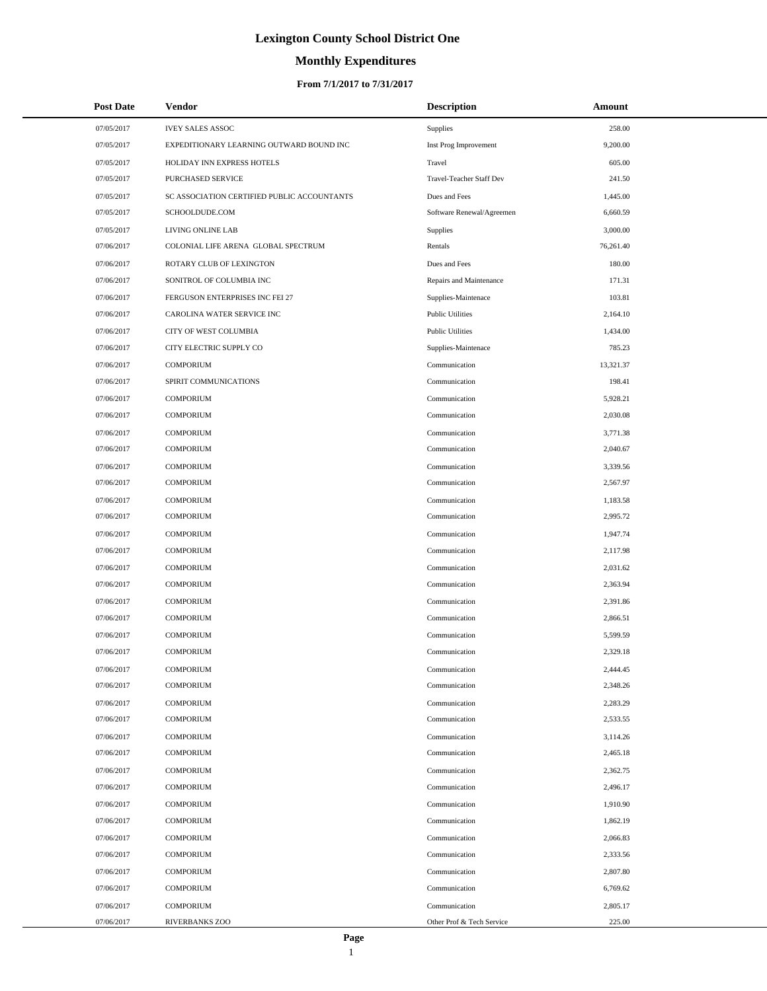# **Monthly Expenditures**

#### **From 7/1/2017 to 7/31/2017**

| <b>Post Date</b> | Vendor                                      | <b>Description</b>        | Amount    |
|------------------|---------------------------------------------|---------------------------|-----------|
| 07/05/2017       | <b>IVEY SALES ASSOC</b>                     | Supplies                  | 258.00    |
| 07/05/2017       | EXPEDITIONARY LEARNING OUTWARD BOUND INC    | Inst Prog Improvement     | 9,200.00  |
| 07/05/2017       | HOLIDAY INN EXPRESS HOTELS                  | Travel                    | 605.00    |
| 07/05/2017       | PURCHASED SERVICE                           | Travel-Teacher Staff Dev  | 241.50    |
| 07/05/2017       | SC ASSOCIATION CERTIFIED PUBLIC ACCOUNTANTS | Dues and Fees             | 1,445.00  |
| 07/05/2017       | SCHOOLDUDE.COM                              | Software Renewal/Agreemen | 6,660.59  |
| 07/05/2017       | LIVING ONLINE LAB                           | Supplies                  | 3,000.00  |
| 07/06/2017       | COLONIAL LIFE ARENA GLOBAL SPECTRUM         | Rentals                   | 76,261.40 |
| 07/06/2017       | ROTARY CLUB OF LEXINGTON                    | Dues and Fees             | 180.00    |
| 07/06/2017       | SONITROL OF COLUMBIA INC                    | Repairs and Maintenance   | 171.31    |
| 07/06/2017       | FERGUSON ENTERPRISES INC FEI 27             | Supplies-Maintenace       | 103.81    |
| 07/06/2017       | CAROLINA WATER SERVICE INC                  | <b>Public Utilities</b>   | 2,164.10  |
| 07/06/2017       | CITY OF WEST COLUMBIA                       | <b>Public Utilities</b>   | 1,434.00  |
| 07/06/2017       | CITY ELECTRIC SUPPLY CO                     | Supplies-Maintenace       | 785.23    |
| 07/06/2017       | <b>COMPORIUM</b>                            | Communication             | 13,321.37 |
| 07/06/2017       | SPIRIT COMMUNICATIONS                       | Communication             | 198.41    |
| 07/06/2017       | <b>COMPORIUM</b>                            | Communication             | 5,928.21  |
| 07/06/2017       | <b>COMPORIUM</b>                            | Communication             | 2,030.08  |
| 07/06/2017       | <b>COMPORIUM</b>                            | Communication             | 3,771.38  |
| 07/06/2017       | <b>COMPORIUM</b>                            | Communication             | 2,040.67  |
| 07/06/2017       | <b>COMPORIUM</b>                            | Communication             | 3,339.56  |
| 07/06/2017       | <b>COMPORIUM</b>                            | Communication             | 2,567.97  |
| 07/06/2017       | <b>COMPORIUM</b>                            | Communication             | 1,183.58  |
| 07/06/2017       | <b>COMPORIUM</b>                            | Communication             | 2,995.72  |
| 07/06/2017       | <b>COMPORIUM</b>                            | Communication             | 1,947.74  |
| 07/06/2017       | <b>COMPORIUM</b>                            | Communication             | 2,117.98  |
| 07/06/2017       | <b>COMPORIUM</b>                            | Communication             | 2,031.62  |
| 07/06/2017       | <b>COMPORIUM</b>                            | Communication             | 2,363.94  |
| 07/06/2017       | <b>COMPORIUM</b>                            | Communication             | 2,391.86  |
| 07/06/2017       | <b>COMPORIUM</b>                            | Communication             | 2,866.51  |
| 07/06/2017       | <b>COMPORIUM</b>                            | Communication             | 5,599.59  |
| 07/06/2017       | <b>COMPORIUM</b>                            | Communication             | 2,329.18  |
| 07/06/2017       | <b>COMPORIUM</b>                            | Communication             | 2,444.45  |
| 07/06/2017       | <b>COMPORIUM</b>                            | Communication             | 2,348.26  |
| 07/06/2017       | <b>COMPORIUM</b>                            | Communication             | 2,283.29  |
| 07/06/2017       | <b>COMPORIUM</b>                            | Communication             | 2,533.55  |
| 07/06/2017       | <b>COMPORIUM</b>                            | Communication             | 3,114.26  |
| 07/06/2017       | <b>COMPORIUM</b>                            | Communication             | 2,465.18  |
| 07/06/2017       | <b>COMPORIUM</b>                            | Communication             | 2,362.75  |
| 07/06/2017       | <b>COMPORIUM</b>                            | Communication             | 2,496.17  |
| 07/06/2017       | <b>COMPORIUM</b>                            | Communication             | 1,910.90  |
| 07/06/2017       | <b>COMPORIUM</b>                            | Communication             | 1,862.19  |
| 07/06/2017       | <b>COMPORIUM</b>                            | Communication             | 2,066.83  |
| 07/06/2017       | <b>COMPORIUM</b>                            | Communication             | 2,333.56  |
| 07/06/2017       | <b>COMPORIUM</b>                            | Communication             | 2,807.80  |
| 07/06/2017       | <b>COMPORIUM</b>                            | Communication             | 6,769.62  |
| 07/06/2017       | <b>COMPORIUM</b>                            | Communication             | 2,805.17  |
| 07/06/2017       | <b>RIVERBANKS ZOO</b>                       | Other Prof & Tech Service | 225.00    |

 $\overline{a}$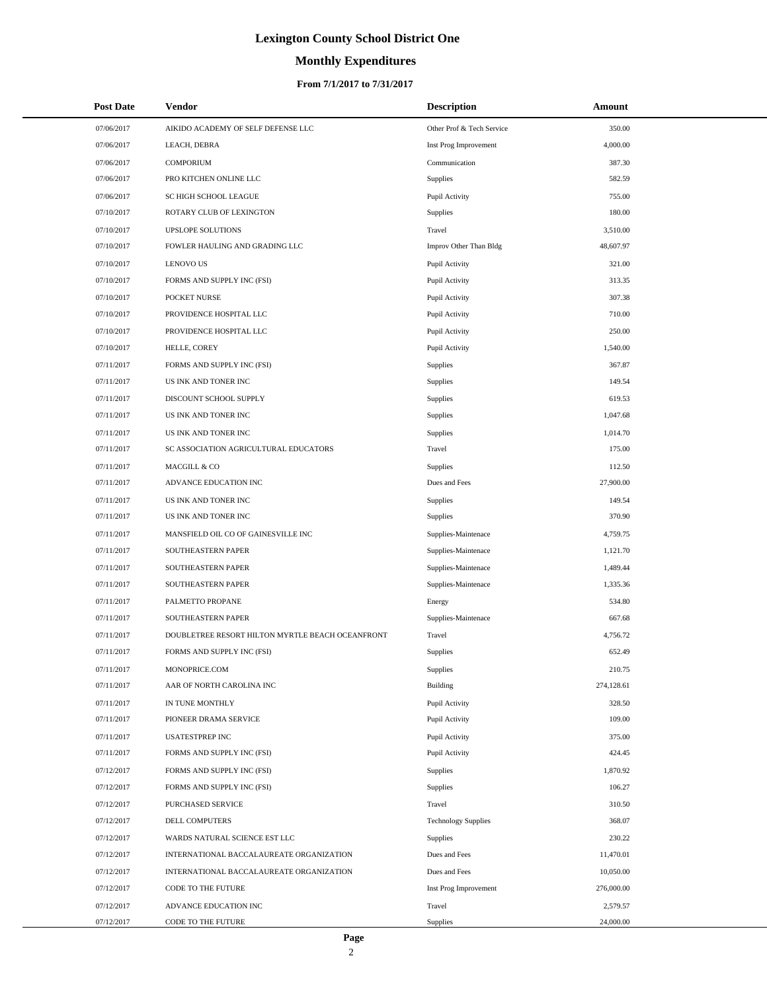# **Monthly Expenditures**

#### **From 7/1/2017 to 7/31/2017**

| <b>Post Date</b> | <b>Vendor</b>                                    | <b>Description</b>         | Amount     |
|------------------|--------------------------------------------------|----------------------------|------------|
| 07/06/2017       | AIKIDO ACADEMY OF SELF DEFENSE LLC               | Other Prof & Tech Service  | 350.00     |
| 07/06/2017       | LEACH, DEBRA                                     | Inst Prog Improvement      | 4,000.00   |
| 07/06/2017       | <b>COMPORIUM</b>                                 | Communication              | 387.30     |
| 07/06/2017       | PRO KITCHEN ONLINE LLC                           | Supplies                   | 582.59     |
| 07/06/2017       | SC HIGH SCHOOL LEAGUE                            | Pupil Activity             | 755.00     |
| 07/10/2017       | ROTARY CLUB OF LEXINGTON                         | Supplies                   | 180.00     |
| 07/10/2017       | UPSLOPE SOLUTIONS                                | Travel                     | 3,510.00   |
| 07/10/2017       | FOWLER HAULING AND GRADING LLC                   | Improv Other Than Bldg     | 48,607.97  |
| 07/10/2017       | <b>LENOVO US</b>                                 | Pupil Activity             | 321.00     |
| 07/10/2017       | FORMS AND SUPPLY INC (FSI)                       | Pupil Activity             | 313.35     |
| 07/10/2017       | POCKET NURSE                                     | Pupil Activity             | 307.38     |
| 07/10/2017       | PROVIDENCE HOSPITAL LLC                          | Pupil Activity             | 710.00     |
| 07/10/2017       | PROVIDENCE HOSPITAL LLC                          | Pupil Activity             | 250.00     |
| 07/10/2017       | HELLE, COREY                                     | Pupil Activity             | 1,540.00   |
| 07/11/2017       | FORMS AND SUPPLY INC (FSI)                       | Supplies                   | 367.87     |
| 07/11/2017       | US INK AND TONER INC                             | Supplies                   | 149.54     |
| 07/11/2017       | DISCOUNT SCHOOL SUPPLY                           | Supplies                   | 619.53     |
| 07/11/2017       | US INK AND TONER INC                             | Supplies                   | 1,047.68   |
| 07/11/2017       | US INK AND TONER INC                             | Supplies                   | 1,014.70   |
| 07/11/2017       | SC ASSOCIATION AGRICULTURAL EDUCATORS            | Travel                     | 175.00     |
| 07/11/2017       | MACGILL & CO                                     | Supplies                   | 112.50     |
| 07/11/2017       | ADVANCE EDUCATION INC                            | Dues and Fees              | 27,900.00  |
| 07/11/2017       | US INK AND TONER INC                             | Supplies                   | 149.54     |
| 07/11/2017       | US INK AND TONER INC                             | Supplies                   | 370.90     |
| 07/11/2017       | MANSFIELD OIL CO OF GAINESVILLE INC              | Supplies-Maintenace        | 4,759.75   |
| 07/11/2017       | SOUTHEASTERN PAPER                               | Supplies-Maintenace        | 1,121.70   |
| 07/11/2017       | SOUTHEASTERN PAPER                               | Supplies-Maintenace        | 1,489.44   |
| 07/11/2017       | SOUTHEASTERN PAPER                               | Supplies-Maintenace        | 1.335.36   |
| 07/11/2017       | PALMETTO PROPANE                                 | Energy                     | 534.80     |
| 07/11/2017       | <b>SOUTHEASTERN PAPER</b>                        | Supplies-Maintenace        | 667.68     |
| 07/11/2017       | DOUBLETREE RESORT HILTON MYRTLE BEACH OCEANFRONT | Travel                     | 4,756.72   |
| 07/11/2017       | FORMS AND SUPPLY INC (FSI)                       | Supplies                   | 652.49     |
| 07/11/2017       | MONOPRICE.COM                                    | Supplies                   | 210.75     |
| 07/11/2017       | AAR OF NORTH CAROLINA INC                        | <b>Building</b>            | 274,128.61 |
| 07/11/2017       | IN TUNE MONTHLY                                  | Pupil Activity             | 328.50     |
| 07/11/2017       | PIONEER DRAMA SERVICE                            | Pupil Activity             | 109.00     |
| 07/11/2017       | <b>USATESTPREP INC</b>                           | Pupil Activity             | 375.00     |
| 07/11/2017       | FORMS AND SUPPLY INC (FSI)                       | Pupil Activity             | 424.45     |
| 07/12/2017       | FORMS AND SUPPLY INC (FSI)                       | Supplies                   | 1,870.92   |
| 07/12/2017       | FORMS AND SUPPLY INC (FSI)                       | Supplies                   | 106.27     |
| 07/12/2017       | PURCHASED SERVICE                                | Travel                     | 310.50     |
| 07/12/2017       | DELL COMPUTERS                                   | <b>Technology Supplies</b> | 368.07     |
| 07/12/2017       | WARDS NATURAL SCIENCE EST LLC                    | Supplies                   | 230.22     |
| 07/12/2017       | INTERNATIONAL BACCALAUREATE ORGANIZATION         | Dues and Fees              | 11,470.01  |
| 07/12/2017       | INTERNATIONAL BACCALAUREATE ORGANIZATION         | Dues and Fees              | 10,050.00  |
| 07/12/2017       | CODE TO THE FUTURE                               | Inst Prog Improvement      | 276,000.00 |
| 07/12/2017       | ADVANCE EDUCATION INC                            | Travel                     | 2,579.57   |
| 07/12/2017       | CODE TO THE FUTURE                               | Supplies                   | 24,000.00  |

 $\overline{a}$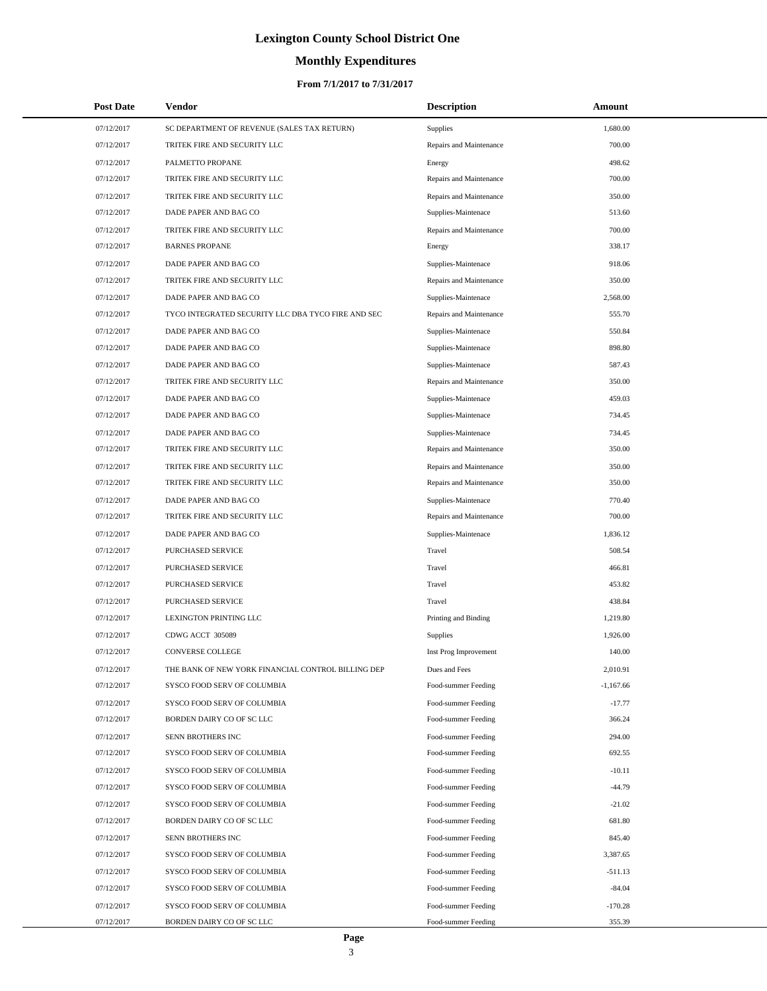# **Monthly Expenditures**

#### **From 7/1/2017 to 7/31/2017**

| <b>Post Date</b>         | Vendor                                                   | <b>Description</b>                         | Amount             |
|--------------------------|----------------------------------------------------------|--------------------------------------------|--------------------|
| 07/12/2017               | SC DEPARTMENT OF REVENUE (SALES TAX RETURN)              | Supplies                                   | 1,680.00           |
| 07/12/2017               | TRITEK FIRE AND SECURITY LLC                             | Repairs and Maintenance                    | 700.00             |
| 07/12/2017               | PALMETTO PROPANE                                         | Energy                                     | 498.62             |
| 07/12/2017               | TRITEK FIRE AND SECURITY LLC                             | Repairs and Maintenance                    | 700.00             |
| 07/12/2017               | TRITEK FIRE AND SECURITY LLC                             | Repairs and Maintenance                    | 350.00             |
| 07/12/2017               | DADE PAPER AND BAG CO                                    | Supplies-Maintenace                        | 513.60             |
| 07/12/2017               | TRITEK FIRE AND SECURITY LLC                             | Repairs and Maintenance                    | 700.00             |
| 07/12/2017               | <b>BARNES PROPANE</b>                                    | Energy                                     | 338.17             |
| 07/12/2017               | DADE PAPER AND BAG CO                                    | Supplies-Maintenace                        | 918.06             |
| 07/12/2017               | TRITEK FIRE AND SECURITY LLC                             | Repairs and Maintenance                    | 350.00             |
| 07/12/2017               | DADE PAPER AND BAG CO                                    | Supplies-Maintenace                        | 2,568.00           |
| 07/12/2017               | TYCO INTEGRATED SECURITY LLC DBA TYCO FIRE AND SEC       | Repairs and Maintenance                    | 555.70             |
| 07/12/2017               | DADE PAPER AND BAG CO                                    | Supplies-Maintenace                        | 550.84             |
| 07/12/2017               | DADE PAPER AND BAG CO                                    | Supplies-Maintenace                        | 898.80             |
| 07/12/2017               | DADE PAPER AND BAG CO                                    | Supplies-Maintenace                        | 587.43             |
| 07/12/2017               | TRITEK FIRE AND SECURITY LLC                             | Repairs and Maintenance                    | 350.00             |
| 07/12/2017               | DADE PAPER AND BAG CO                                    | Supplies-Maintenace                        | 459.03             |
| 07/12/2017               | DADE PAPER AND BAG CO                                    | Supplies-Maintenace                        | 734.45             |
| 07/12/2017               | DADE PAPER AND BAG CO                                    | Supplies-Maintenace                        | 734.45             |
| 07/12/2017               | TRITEK FIRE AND SECURITY LLC                             | Repairs and Maintenance                    | 350.00             |
| 07/12/2017               | TRITEK FIRE AND SECURITY LLC                             | Repairs and Maintenance                    | 350.00             |
| 07/12/2017               | TRITEK FIRE AND SECURITY LLC                             | Repairs and Maintenance                    | 350.00             |
| 07/12/2017               | DADE PAPER AND BAG CO                                    | Supplies-Maintenace                        | 770.40             |
| 07/12/2017               | TRITEK FIRE AND SECURITY LLC                             | Repairs and Maintenance                    | 700.00             |
| 07/12/2017               | DADE PAPER AND BAG CO                                    | Supplies-Maintenace                        | 1,836.12           |
| 07/12/2017               | PURCHASED SERVICE                                        | Travel                                     | 508.54             |
| 07/12/2017               | PURCHASED SERVICE                                        | Travel                                     | 466.81             |
| 07/12/2017               | PURCHASED SERVICE                                        | Travel                                     | 453.82             |
| 07/12/2017               | PURCHASED SERVICE                                        | Travel                                     | 438.84             |
| 07/12/2017               | LEXINGTON PRINTING LLC                                   | Printing and Binding                       | 1,219.80           |
| 07/12/2017               | CDWG ACCT 305089                                         | Supplies                                   | 1,926.00           |
| 07/12/2017               | CONVERSE COLLEGE                                         | Inst Prog Improvement                      | 140.00             |
| 07/12/2017               | THE BANK OF NEW YORK FINANCIAL CONTROL BILLING DEP       | Dues and Fees                              | 2,010.91           |
| 07/12/2017               | SYSCO FOOD SERV OF COLUMBIA                              | Food-summer Feeding                        | $-1,167.66$        |
| 07/12/2017               | SYSCO FOOD SERV OF COLUMBIA                              | Food-summer Feeding                        | $-17.77$           |
| 07/12/2017               | BORDEN DAIRY CO OF SC LLC                                | Food-summer Feeding                        | 366.24             |
| 07/12/2017               | SENN BROTHERS INC                                        | Food-summer Feeding                        | 294.00             |
| 07/12/2017               | SYSCO FOOD SERV OF COLUMBIA                              | Food-summer Feeding                        | 692.55             |
| 07/12/2017               | SYSCO FOOD SERV OF COLUMBIA                              | Food-summer Feeding                        | $-10.11$           |
| 07/12/2017               | SYSCO FOOD SERV OF COLUMBIA                              | Food-summer Feeding                        | $-44.79$           |
| 07/12/2017<br>07/12/2017 | SYSCO FOOD SERV OF COLUMBIA<br>BORDEN DAIRY CO OF SC LLC | Food-summer Feeding<br>Food-summer Feeding | $-21.02$           |
|                          |                                                          |                                            | 681.80             |
| 07/12/2017<br>07/12/2017 | SENN BROTHERS INC<br>SYSCO FOOD SERV OF COLUMBIA         | Food-summer Feeding<br>Food-summer Feeding | 845.40<br>3,387.65 |
| 07/12/2017               | SYSCO FOOD SERV OF COLUMBIA                              | Food-summer Feeding                        | $-511.13$          |
| 07/12/2017               | SYSCO FOOD SERV OF COLUMBIA                              | Food-summer Feeding                        | $-84.04$           |
| 07/12/2017               | SYSCO FOOD SERV OF COLUMBIA                              | Food-summer Feeding                        | $-170.28$          |
| 07/12/2017               | BORDEN DAIRY CO OF SC LLC                                | Food-summer Feeding                        | 355.39             |
|                          |                                                          |                                            |                    |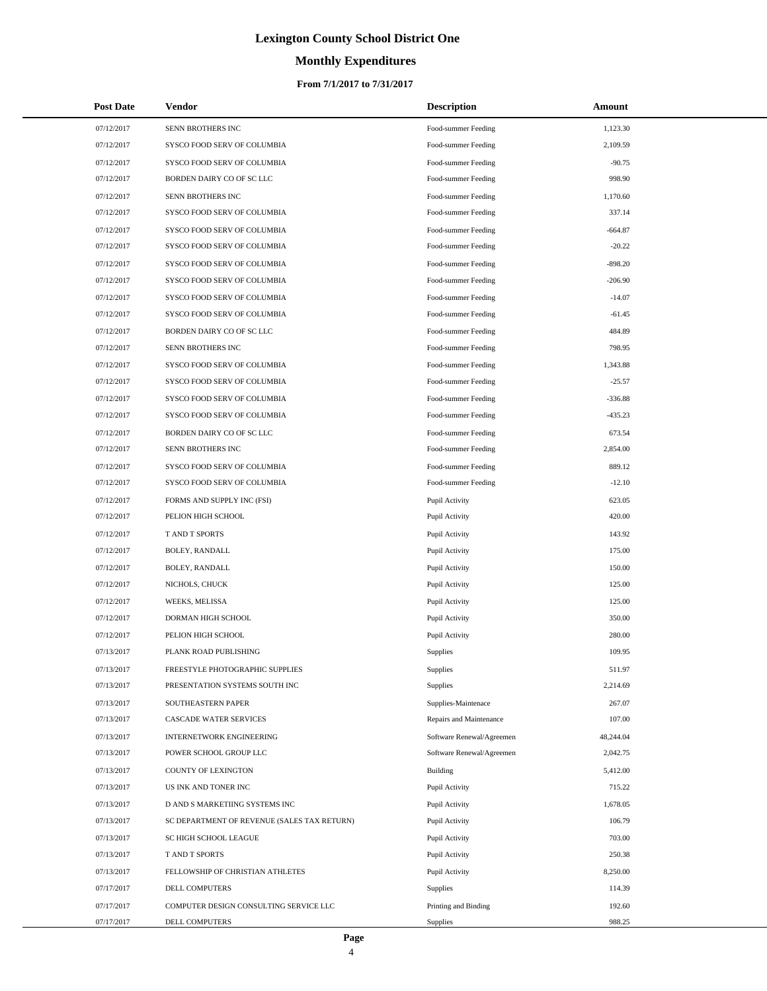# **Monthly Expenditures**

| <b>Post Date</b> | <b>Vendor</b>                               | <b>Description</b>        | Amount    |
|------------------|---------------------------------------------|---------------------------|-----------|
| 07/12/2017       | SENN BROTHERS INC                           | Food-summer Feeding       | 1,123.30  |
| 07/12/2017       | SYSCO FOOD SERV OF COLUMBIA                 | Food-summer Feeding       | 2,109.59  |
| 07/12/2017       | SYSCO FOOD SERV OF COLUMBIA                 | Food-summer Feeding       | $-90.75$  |
| 07/12/2017       | BORDEN DAIRY CO OF SC LLC                   | Food-summer Feeding       | 998.90    |
| 07/12/2017       | SENN BROTHERS INC                           | Food-summer Feeding       | 1,170.60  |
| 07/12/2017       | SYSCO FOOD SERV OF COLUMBIA                 | Food-summer Feeding       | 337.14    |
| 07/12/2017       | SYSCO FOOD SERV OF COLUMBIA                 | Food-summer Feeding       | $-664.87$ |
| 07/12/2017       | SYSCO FOOD SERV OF COLUMBIA                 | Food-summer Feeding       | $-20.22$  |
| 07/12/2017       | SYSCO FOOD SERV OF COLUMBIA                 | Food-summer Feeding       | $-898.20$ |
| 07/12/2017       | SYSCO FOOD SERV OF COLUMBIA                 | Food-summer Feeding       | $-206.90$ |
| 07/12/2017       | SYSCO FOOD SERV OF COLUMBIA                 | Food-summer Feeding       | $-14.07$  |
| 07/12/2017       | SYSCO FOOD SERV OF COLUMBIA                 | Food-summer Feeding       | $-61.45$  |
| 07/12/2017       | BORDEN DAIRY CO OF SC LLC                   | Food-summer Feeding       | 484.89    |
| 07/12/2017       | SENN BROTHERS INC                           | Food-summer Feeding       | 798.95    |
| 07/12/2017       | SYSCO FOOD SERV OF COLUMBIA                 | Food-summer Feeding       | 1,343.88  |
| 07/12/2017       | SYSCO FOOD SERV OF COLUMBIA                 | Food-summer Feeding       | $-25.57$  |
| 07/12/2017       | SYSCO FOOD SERV OF COLUMBIA                 | Food-summer Feeding       | $-336.88$ |
| 07/12/2017       | SYSCO FOOD SERV OF COLUMBIA                 | Food-summer Feeding       | $-435.23$ |
| 07/12/2017       | BORDEN DAIRY CO OF SC LLC                   | Food-summer Feeding       | 673.54    |
| 07/12/2017       | <b>SENN BROTHERS INC</b>                    | Food-summer Feeding       | 2,854.00  |
| 07/12/2017       | SYSCO FOOD SERV OF COLUMBIA                 | Food-summer Feeding       | 889.12    |
| 07/12/2017       | SYSCO FOOD SERV OF COLUMBIA                 | Food-summer Feeding       | $-12.10$  |
| 07/12/2017       | FORMS AND SUPPLY INC (FSI)                  | Pupil Activity            | 623.05    |
| 07/12/2017       | PELION HIGH SCHOOL                          | Pupil Activity            | 420.00    |
| 07/12/2017       | <b>TAND T SPORTS</b>                        | Pupil Activity            | 143.92    |
| 07/12/2017       | BOLEY, RANDALL                              | Pupil Activity            | 175.00    |
| 07/12/2017       | BOLEY, RANDALL                              | Pupil Activity            | 150.00    |
| 07/12/2017       | NICHOLS, CHUCK                              | Pupil Activity            | 125.00    |
| 07/12/2017       | WEEKS, MELISSA                              | Pupil Activity            | 125.00    |
| 07/12/2017       | DORMAN HIGH SCHOOL                          | Pupil Activity            | 350.00    |
| 07/12/2017       | PELION HIGH SCHOOL                          | Pupil Activity            | 280.00    |
| 07/13/2017       | PLANK ROAD PUBLISHING                       | Supplies                  | 109.95    |
| 07/13/2017       | FREESTYLE PHOTOGRAPHIC SUPPLIES             | Supplies                  | 511.97    |
| 07/13/2017       | PRESENTATION SYSTEMS SOUTH INC              | Supplies                  | 2,214.69  |
| 07/13/2017       | SOUTHEASTERN PAPER                          | Supplies-Maintenace       | 267.07    |
| 07/13/2017       | CASCADE WATER SERVICES                      | Repairs and Maintenance   | 107.00    |
| 07/13/2017       | <b>INTERNETWORK ENGINEERING</b>             | Software Renewal/Agreemen | 48,244.04 |
| 07/13/2017       | POWER SCHOOL GROUP LLC                      | Software Renewal/Agreemen | 2,042.75  |
| 07/13/2017       | <b>COUNTY OF LEXINGTON</b>                  | Building                  | 5,412.00  |
| 07/13/2017       | US INK AND TONER INC                        | Pupil Activity            | 715.22    |
| 07/13/2017       | D AND S MARKETIING SYSTEMS INC              | Pupil Activity            | 1,678.05  |
| 07/13/2017       | SC DEPARTMENT OF REVENUE (SALES TAX RETURN) | Pupil Activity            | 106.79    |
| 07/13/2017       | SC HIGH SCHOOL LEAGUE                       | Pupil Activity            | 703.00    |
| 07/13/2017       | T AND T SPORTS                              | Pupil Activity            | 250.38    |
| 07/13/2017       | FELLOWSHIP OF CHRISTIAN ATHLETES            | Pupil Activity            | 8,250.00  |
| 07/17/2017       | DELL COMPUTERS                              | Supplies                  | 114.39    |
| 07/17/2017       | COMPUTER DESIGN CONSULTING SERVICE LLC      | Printing and Binding      | 192.60    |
| 07/17/2017       | DELL COMPUTERS                              | Supplies                  | 988.25    |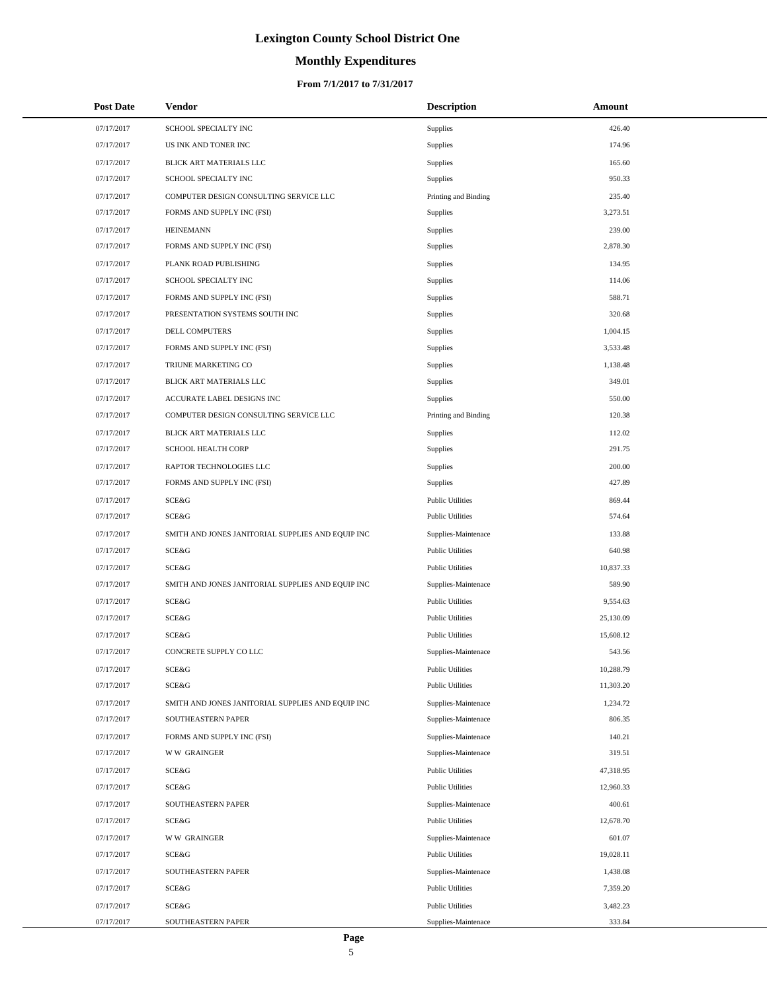# **Monthly Expenditures**

#### **From 7/1/2017 to 7/31/2017**

| <b>Post Date</b> | Vendor                                            | <b>Description</b>      | Amount    |
|------------------|---------------------------------------------------|-------------------------|-----------|
| 07/17/2017       | SCHOOL SPECIALTY INC                              | Supplies                | 426.40    |
| 07/17/2017       | US INK AND TONER INC                              | <b>Supplies</b>         | 174.96    |
| 07/17/2017       | BLICK ART MATERIALS LLC                           | Supplies                | 165.60    |
| 07/17/2017       | SCHOOL SPECIALTY INC                              | Supplies                | 950.33    |
| 07/17/2017       | COMPUTER DESIGN CONSULTING SERVICE LLC            | Printing and Binding    | 235.40    |
| 07/17/2017       | FORMS AND SUPPLY INC (FSI)                        | Supplies                | 3,273.51  |
| 07/17/2017       | <b>HEINEMANN</b>                                  | Supplies                | 239.00    |
| 07/17/2017       | FORMS AND SUPPLY INC (FSI)                        | Supplies                | 2,878.30  |
| 07/17/2017       | PLANK ROAD PUBLISHING                             | Supplies                | 134.95    |
| 07/17/2017       | SCHOOL SPECIALTY INC                              | <b>Supplies</b>         | 114.06    |
| 07/17/2017       | FORMS AND SUPPLY INC (FSI)                        | Supplies                | 588.71    |
| 07/17/2017       | PRESENTATION SYSTEMS SOUTH INC                    | Supplies                | 320.68    |
| 07/17/2017       | DELL COMPUTERS                                    | Supplies                | 1,004.15  |
| 07/17/2017       | FORMS AND SUPPLY INC (FSI)                        | <b>Supplies</b>         | 3,533.48  |
| 07/17/2017       | TRIUNE MARKETING CO                               | Supplies                | 1,138.48  |
| 07/17/2017       | BLICK ART MATERIALS LLC                           | Supplies                | 349.01    |
| 07/17/2017       | ACCURATE LABEL DESIGNS INC                        | Supplies                | 550.00    |
| 07/17/2017       | COMPUTER DESIGN CONSULTING SERVICE LLC            | Printing and Binding    | 120.38    |
| 07/17/2017       | BLICK ART MATERIALS LLC                           | Supplies                | 112.02    |
| 07/17/2017       | <b>SCHOOL HEALTH CORP</b>                         | Supplies                | 291.75    |
| 07/17/2017       | RAPTOR TECHNOLOGIES LLC                           | Supplies                | 200.00    |
| 07/17/2017       | FORMS AND SUPPLY INC (FSI)                        | <b>Supplies</b>         | 427.89    |
| 07/17/2017       | SCE&G                                             | <b>Public Utilities</b> | 869.44    |
| 07/17/2017       | SCE&G                                             | <b>Public Utilities</b> | 574.64    |
| 07/17/2017       | SMITH AND JONES JANITORIAL SUPPLIES AND EQUIP INC | Supplies-Maintenace     | 133.88    |
| 07/17/2017       | <b>SCE&amp;G</b>                                  | <b>Public Utilities</b> | 640.98    |
| 07/17/2017       | <b>SCE&amp;G</b>                                  | <b>Public Utilities</b> | 10,837.33 |
| 07/17/2017       | SMITH AND JONES JANITORIAL SUPPLIES AND EQUIP INC | Supplies-Maintenace     | 589.90    |
| 07/17/2017       | <b>SCE&amp;G</b>                                  | <b>Public Utilities</b> | 9,554.63  |
| 07/17/2017       | SCE&G                                             | <b>Public Utilities</b> | 25,130.09 |
| 07/17/2017       | SCE&G                                             | <b>Public Utilities</b> | 15,608.12 |
| 07/17/2017       | CONCRETE SUPPLY COLLC                             | Supplies-Maintenace     | 543.56    |
| 07/17/2017       | <b>SCE&amp;G</b>                                  | <b>Public Utilities</b> | 10,288.79 |
| 07/17/2017       | SCE&G                                             | <b>Public Utilities</b> | 11,303.20 |
| 07/17/2017       | SMITH AND JONES JANITORIAL SUPPLIES AND EQUIP INC | Supplies-Maintenace     | 1,234.72  |
| 07/17/2017       | SOUTHEASTERN PAPER                                | Supplies-Maintenace     | 806.35    |
| 07/17/2017       | FORMS AND SUPPLY INC (FSI)                        | Supplies-Maintenace     | 140.21    |
| 07/17/2017       | <b>WW GRAINGER</b>                                | Supplies-Maintenace     | 319.51    |
| 07/17/2017       | <b>SCE&amp;G</b>                                  | <b>Public Utilities</b> | 47,318.95 |
| 07/17/2017       | SCE&G                                             | <b>Public Utilities</b> | 12,960.33 |
| 07/17/2017       | SOUTHEASTERN PAPER                                | Supplies-Maintenace     | 400.61    |
| 07/17/2017       | SCE&G                                             | <b>Public Utilities</b> | 12,678.70 |
| 07/17/2017       | <b>WW GRAINGER</b>                                | Supplies-Maintenace     | 601.07    |
| 07/17/2017       | SCE&G                                             | <b>Public Utilities</b> | 19,028.11 |
| 07/17/2017       | SOUTHEASTERN PAPER                                | Supplies-Maintenace     | 1,438.08  |
| 07/17/2017       | <b>SCE&amp;G</b>                                  | <b>Public Utilities</b> | 7,359.20  |
| 07/17/2017       | SCE&G                                             | <b>Public Utilities</b> | 3,482.23  |
| 07/17/2017       | SOUTHEASTERN PAPER                                | Supplies-Maintenace     | 333.84    |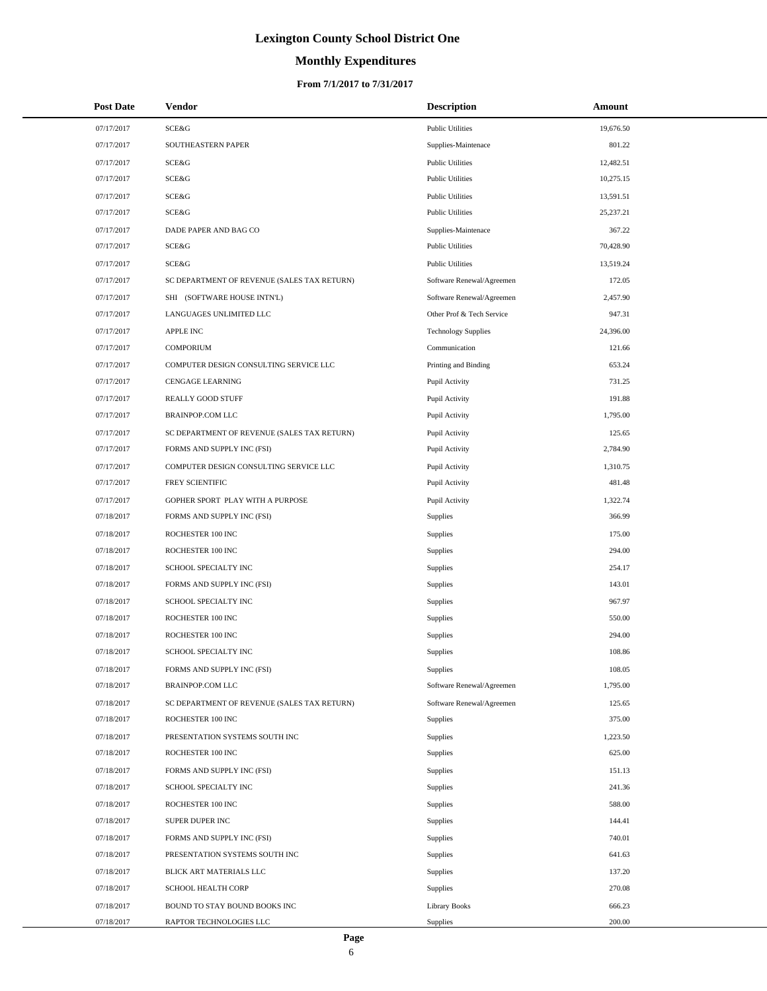# **Monthly Expenditures**

#### **From 7/1/2017 to 7/31/2017**

| <b>Post Date</b> | Vendor                                      | <b>Description</b>         | Amount    |
|------------------|---------------------------------------------|----------------------------|-----------|
| 07/17/2017       | SCE&G                                       | <b>Public Utilities</b>    | 19,676.50 |
| 07/17/2017       | SOUTHEASTERN PAPER                          | Supplies-Maintenace        | 801.22    |
| 07/17/2017       | SCE&G                                       | <b>Public Utilities</b>    | 12,482.51 |
| 07/17/2017       | SCE&G                                       | <b>Public Utilities</b>    | 10,275.15 |
| 07/17/2017       | SCE&G                                       | <b>Public Utilities</b>    | 13,591.51 |
| 07/17/2017       | SCE&G                                       | <b>Public Utilities</b>    | 25,237.21 |
| 07/17/2017       | DADE PAPER AND BAG CO                       | Supplies-Maintenace        | 367.22    |
| 07/17/2017       | SCE&G                                       | <b>Public Utilities</b>    | 70,428.90 |
| 07/17/2017       | SCE&G                                       | <b>Public Utilities</b>    | 13,519.24 |
| 07/17/2017       | SC DEPARTMENT OF REVENUE (SALES TAX RETURN) | Software Renewal/Agreemen  | 172.05    |
| 07/17/2017       | SHI (SOFTWARE HOUSE INTN'L)                 | Software Renewal/Agreemen  | 2,457.90  |
| 07/17/2017       | LANGUAGES UNLIMITED LLC                     | Other Prof & Tech Service  | 947.31    |
| 07/17/2017       | <b>APPLE INC</b>                            | <b>Technology Supplies</b> | 24,396.00 |
| 07/17/2017       | <b>COMPORIUM</b>                            | Communication              | 121.66    |
| 07/17/2017       | COMPUTER DESIGN CONSULTING SERVICE LLC      | Printing and Binding       | 653.24    |
| 07/17/2017       | CENGAGE LEARNING                            | Pupil Activity             | 731.25    |
| 07/17/2017       | <b>REALLY GOOD STUFF</b>                    | Pupil Activity             | 191.88    |
| 07/17/2017       | <b>BRAINPOP.COM LLC</b>                     | Pupil Activity             | 1,795.00  |
| 07/17/2017       | SC DEPARTMENT OF REVENUE (SALES TAX RETURN) | Pupil Activity             | 125.65    |
| 07/17/2017       | FORMS AND SUPPLY INC (FSI)                  | Pupil Activity             | 2,784.90  |
| 07/17/2017       | COMPUTER DESIGN CONSULTING SERVICE LLC      | Pupil Activity             | 1,310.75  |
| 07/17/2017       | FREY SCIENTIFIC                             | Pupil Activity             | 481.48    |
| 07/17/2017       | GOPHER SPORT PLAY WITH A PURPOSE            | Pupil Activity             | 1,322.74  |
| 07/18/2017       | FORMS AND SUPPLY INC (FSI)                  | Supplies                   | 366.99    |
| 07/18/2017       | ROCHESTER 100 INC                           | Supplies                   | 175.00    |
| 07/18/2017       | ROCHESTER 100 INC                           | Supplies                   | 294.00    |
| 07/18/2017       | SCHOOL SPECIALTY INC                        | Supplies                   | 254.17    |
| 07/18/2017       | FORMS AND SUPPLY INC (FSI)                  | Supplies                   | 143.01    |
| 07/18/2017       | SCHOOL SPECIALTY INC                        | Supplies                   | 967.97    |
| 07/18/2017       | ROCHESTER 100 INC                           | Supplies                   | 550.00    |
| 07/18/2017       | ROCHESTER 100 INC                           | Supplies                   | 294.00    |
| 07/18/2017       | SCHOOL SPECIALTY INC                        | Supplies                   | 108.86    |
| 07/18/2017       | FORMS AND SUPPLY INC (FSI)                  | Supplies                   | 108.05    |
| 07/18/2017       | <b>BRAINPOP.COM LLC</b>                     | Software Renewal/Agreemen  | 1,795.00  |
| 07/18/2017       | SC DEPARTMENT OF REVENUE (SALES TAX RETURN) | Software Renewal/Agreemen  | 125.65    |
| 07/18/2017       | ROCHESTER 100 INC                           | Supplies                   | 375.00    |
| 07/18/2017       | PRESENTATION SYSTEMS SOUTH INC              | Supplies                   | 1,223.50  |
| 07/18/2017       | ROCHESTER 100 INC                           | Supplies                   | 625.00    |
| 07/18/2017       | FORMS AND SUPPLY INC (FSI)                  | Supplies                   | 151.13    |
| 07/18/2017       | SCHOOL SPECIALTY INC                        | <b>Supplies</b>            | 241.36    |
| 07/18/2017       | ROCHESTER 100 INC                           | Supplies                   | 588.00    |
| 07/18/2017       | SUPER DUPER INC                             | Supplies                   | 144.41    |
| 07/18/2017       | FORMS AND SUPPLY INC (FSI)                  | Supplies                   | 740.01    |
| 07/18/2017       | PRESENTATION SYSTEMS SOUTH INC              | Supplies                   | 641.63    |
| 07/18/2017       | BLICK ART MATERIALS LLC                     | Supplies                   | 137.20    |
| 07/18/2017       | SCHOOL HEALTH CORP                          | Supplies                   | 270.08    |
| 07/18/2017       | BOUND TO STAY BOUND BOOKS INC               | <b>Library Books</b>       | 666.23    |
| 07/18/2017       | RAPTOR TECHNOLOGIES LLC                     | Supplies                   | 200.00    |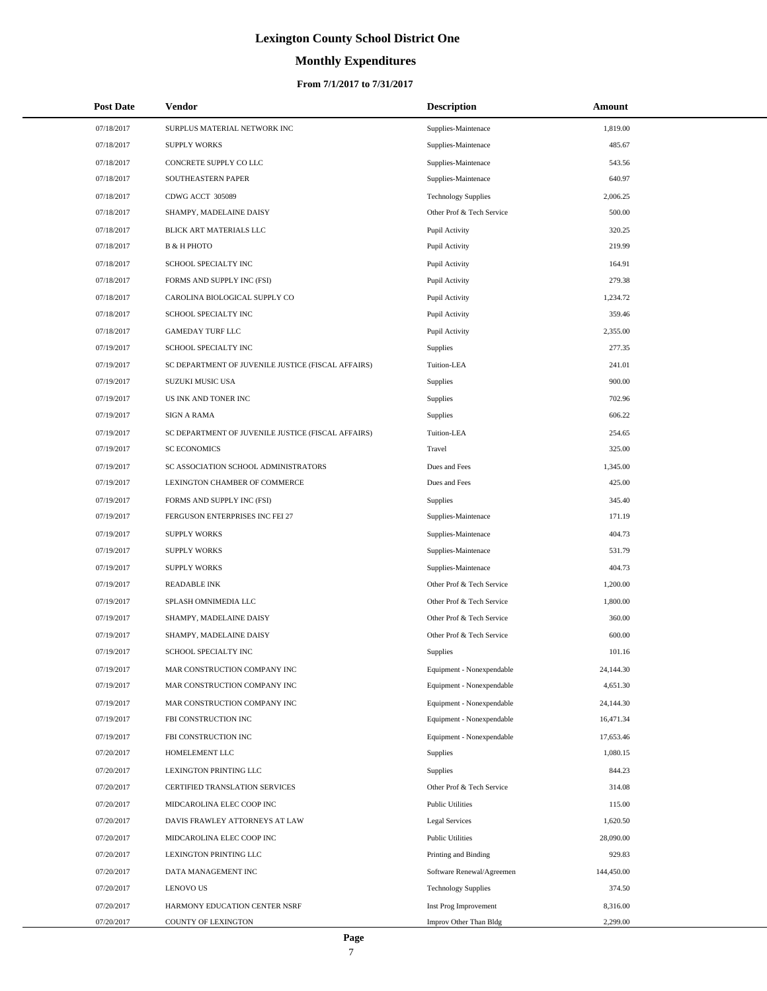# **Monthly Expenditures**

#### **From 7/1/2017 to 7/31/2017**

| <b>Post Date</b> | Vendor                                             | <b>Description</b>         | Amount     |
|------------------|----------------------------------------------------|----------------------------|------------|
| 07/18/2017       | SURPLUS MATERIAL NETWORK INC                       | Supplies-Maintenace        | 1,819.00   |
| 07/18/2017       | <b>SUPPLY WORKS</b>                                | Supplies-Maintenace        | 485.67     |
| 07/18/2017       | CONCRETE SUPPLY CO LLC                             | Supplies-Maintenace        | 543.56     |
| 07/18/2017       | SOUTHEASTERN PAPER                                 | Supplies-Maintenace        | 640.97     |
| 07/18/2017       | CDWG ACCT 305089                                   | <b>Technology Supplies</b> | 2,006.25   |
| 07/18/2017       | SHAMPY, MADELAINE DAISY                            | Other Prof & Tech Service  | 500.00     |
| 07/18/2017       | BLICK ART MATERIALS LLC                            | Pupil Activity             | 320.25     |
| 07/18/2017       | <b>B &amp; H PHOTO</b>                             | Pupil Activity             | 219.99     |
| 07/18/2017       | SCHOOL SPECIALTY INC                               | Pupil Activity             | 164.91     |
| 07/18/2017       | FORMS AND SUPPLY INC (FSI)                         | Pupil Activity             | 279.38     |
| 07/18/2017       | CAROLINA BIOLOGICAL SUPPLY CO                      | Pupil Activity             | 1,234.72   |
| 07/18/2017       | SCHOOL SPECIALTY INC                               | Pupil Activity             | 359.46     |
| 07/18/2017       | <b>GAMEDAY TURF LLC</b>                            | Pupil Activity             | 2,355.00   |
| 07/19/2017       | SCHOOL SPECIALTY INC                               | Supplies                   | 277.35     |
| 07/19/2017       | SC DEPARTMENT OF JUVENILE JUSTICE (FISCAL AFFAIRS) | Tuition-LEA                | 241.01     |
| 07/19/2017       | <b>SUZUKI MUSIC USA</b>                            | Supplies                   | 900.00     |
| 07/19/2017       | US INK AND TONER INC                               | <b>Supplies</b>            | 702.96     |
| 07/19/2017       | SIGN A RAMA                                        | Supplies                   | 606.22     |
| 07/19/2017       | SC DEPARTMENT OF JUVENILE JUSTICE (FISCAL AFFAIRS) | Tuition-LEA                | 254.65     |
| 07/19/2017       | <b>SC ECONOMICS</b>                                | Travel                     | 325.00     |
| 07/19/2017       | SC ASSOCIATION SCHOOL ADMINISTRATORS               | Dues and Fees              | 1,345.00   |
| 07/19/2017       | LEXINGTON CHAMBER OF COMMERCE                      | Dues and Fees              | 425.00     |
| 07/19/2017       | FORMS AND SUPPLY INC (FSI)                         | <b>Supplies</b>            | 345.40     |
| 07/19/2017       | FERGUSON ENTERPRISES INC FEI 27                    | Supplies-Maintenace        | 171.19     |
| 07/19/2017       | <b>SUPPLY WORKS</b>                                | Supplies-Maintenace        | 404.73     |
| 07/19/2017       | <b>SUPPLY WORKS</b>                                | Supplies-Maintenace        | 531.79     |
| 07/19/2017       | <b>SUPPLY WORKS</b>                                | Supplies-Maintenace        | 404.73     |
| 07/19/2017       | <b>READABLE INK</b>                                | Other Prof & Tech Service  | 1,200.00   |
| 07/19/2017       | SPLASH OMNIMEDIA LLC                               | Other Prof & Tech Service  | 1,800.00   |
| 07/19/2017       | SHAMPY, MADELAINE DAISY                            | Other Prof & Tech Service  | 360.00     |
| 07/19/2017       | SHAMPY, MADELAINE DAISY                            | Other Prof & Tech Service  | 600.00     |
| 07/19/2017       | SCHOOL SPECIALTY INC                               | Supplies                   | 101.16     |
| 07/19/2017       | MAR CONSTRUCTION COMPANY INC                       | Equipment - Nonexpendable  | 24,144.30  |
| 07/19/2017       | MAR CONSTRUCTION COMPANY INC                       | Equipment - Nonexpendable  | 4,651.30   |
| 07/19/2017       | MAR CONSTRUCTION COMPANY INC                       | Equipment - Nonexpendable  | 24,144.30  |
| 07/19/2017       | FBI CONSTRUCTION INC                               | Equipment - Nonexpendable  | 16,471.34  |
| 07/19/2017       | FBI CONSTRUCTION INC                               | Equipment - Nonexpendable  | 17,653.46  |
| 07/20/2017       | HOMELEMENT LLC                                     | Supplies                   | 1,080.15   |
| 07/20/2017       | LEXINGTON PRINTING LLC                             | <b>Supplies</b>            | 844.23     |
| 07/20/2017       | CERTIFIED TRANSLATION SERVICES                     | Other Prof & Tech Service  | 314.08     |
| 07/20/2017       | MIDCAROLINA ELEC COOP INC                          | <b>Public Utilities</b>    | 115.00     |
| 07/20/2017       | DAVIS FRAWLEY ATTORNEYS AT LAW                     | Legal Services             | 1,620.50   |
| 07/20/2017       | MIDCAROLINA ELEC COOP INC                          | <b>Public Utilities</b>    | 28,090.00  |
| 07/20/2017       | LEXINGTON PRINTING LLC                             | Printing and Binding       | 929.83     |
| 07/20/2017       | DATA MANAGEMENT INC                                | Software Renewal/Agreemen  | 144,450.00 |
| 07/20/2017       | <b>LENOVO US</b>                                   | <b>Technology Supplies</b> | 374.50     |
| 07/20/2017       | HARMONY EDUCATION CENTER NSRF                      | Inst Prog Improvement      | 8,316.00   |
| 07/20/2017       | COUNTY OF LEXINGTON                                | Improv Other Than Bldg     | 2,299.00   |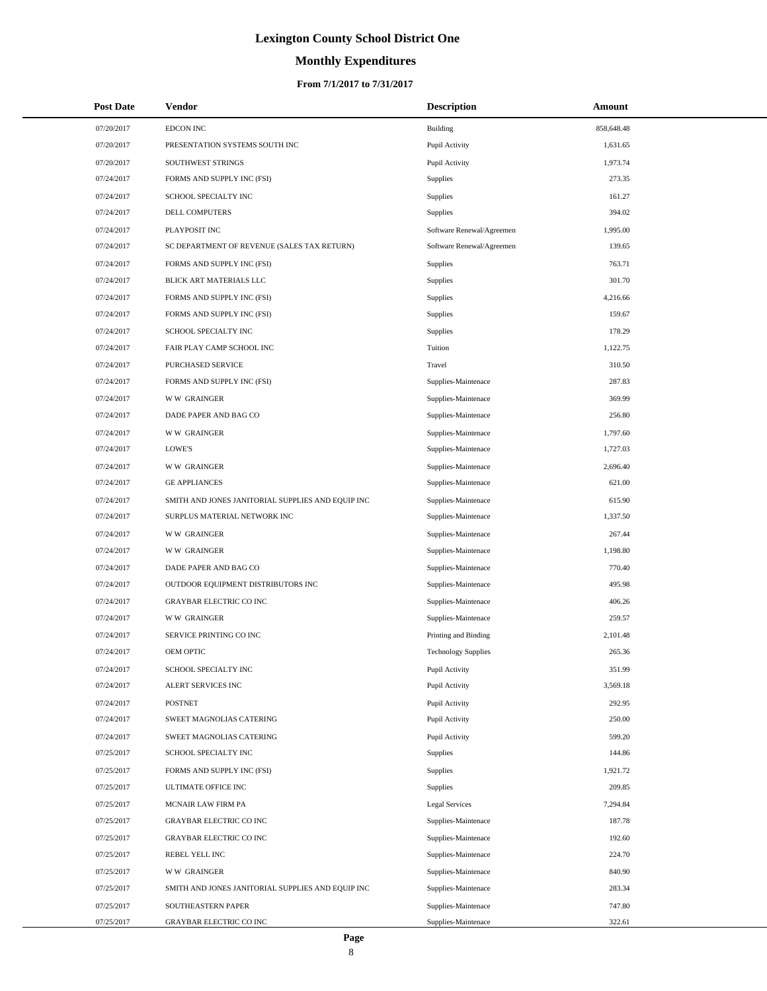# **Monthly Expenditures**

| <b>Post Date</b> | <b>Vendor</b>                                     | <b>Description</b>         | Amount     |
|------------------|---------------------------------------------------|----------------------------|------------|
| 07/20/2017       | <b>EDCON INC</b>                                  | Building                   | 858,648.48 |
| 07/20/2017       | PRESENTATION SYSTEMS SOUTH INC                    | Pupil Activity             | 1,631.65   |
| 07/20/2017       | SOUTHWEST STRINGS                                 | Pupil Activity             | 1,973.74   |
| 07/24/2017       | FORMS AND SUPPLY INC (FSI)                        | Supplies                   | 273.35     |
| 07/24/2017       | SCHOOL SPECIALTY INC                              | Supplies                   | 161.27     |
| 07/24/2017       | DELL COMPUTERS                                    | <b>Supplies</b>            | 394.02     |
| 07/24/2017       | PLAYPOSIT INC                                     | Software Renewal/Agreemen  | 1,995.00   |
| 07/24/2017       | SC DEPARTMENT OF REVENUE (SALES TAX RETURN)       | Software Renewal/Agreemen  | 139.65     |
| 07/24/2017       | FORMS AND SUPPLY INC (FSI)                        | <b>Supplies</b>            | 763.71     |
| 07/24/2017       | BLICK ART MATERIALS LLC                           | Supplies                   | 301.70     |
| 07/24/2017       | FORMS AND SUPPLY INC (FSI)                        | Supplies                   | 4,216.66   |
| 07/24/2017       | FORMS AND SUPPLY INC (FSI)                        | Supplies                   | 159.67     |
| 07/24/2017       | SCHOOL SPECIALTY INC                              | Supplies                   | 178.29     |
| 07/24/2017       | FAIR PLAY CAMP SCHOOL INC                         | Tuition                    | 1,122.75   |
| 07/24/2017       | PURCHASED SERVICE                                 | Travel                     | 310.50     |
| 07/24/2017       | FORMS AND SUPPLY INC (FSI)                        | Supplies-Maintenace        | 287.83     |
| 07/24/2017       | <b>WW GRAINGER</b>                                | Supplies-Maintenace        | 369.99     |
| 07/24/2017       | DADE PAPER AND BAG CO                             | Supplies-Maintenace        | 256.80     |
| 07/24/2017       | <b>WW GRAINGER</b>                                | Supplies-Maintenace        | 1,797.60   |
| 07/24/2017       | <b>LOWE'S</b>                                     | Supplies-Maintenace        | 1,727.03   |
| 07/24/2017       | <b>WW GRAINGER</b>                                | Supplies-Maintenace        | 2,696.40   |
| 07/24/2017       | <b>GE APPLIANCES</b>                              | Supplies-Maintenace        | 621.00     |
| 07/24/2017       | SMITH AND JONES JANITORIAL SUPPLIES AND EQUIP INC | Supplies-Maintenace        | 615.90     |
| 07/24/2017       | SURPLUS MATERIAL NETWORK INC                      | Supplies-Maintenace        | 1,337.50   |
| 07/24/2017       | <b>WW GRAINGER</b>                                | Supplies-Maintenace        | 267.44     |
| 07/24/2017       | <b>WW GRAINGER</b>                                | Supplies-Maintenace        | 1,198.80   |
| 07/24/2017       | DADE PAPER AND BAG CO                             | Supplies-Maintenace        | 770.40     |
| 07/24/2017       | OUTDOOR EQUIPMENT DISTRIBUTORS INC                | Supplies-Maintenace        | 495.98     |
| 07/24/2017       | <b>GRAYBAR ELECTRIC CO INC</b>                    | Supplies-Maintenace        | 406.26     |
| 07/24/2017       | <b>WW GRAINGER</b>                                | Supplies-Maintenace        | 259.57     |
| 07/24/2017       | SERVICE PRINTING CO INC                           | Printing and Binding       | 2,101.48   |
| 07/24/2017       | OEM OPTIC                                         | <b>Technology Supplies</b> | 265.36     |
| 07/24/2017       | SCHOOL SPECIALTY INC                              | Pupil Activity             | 351.99     |
| 07/24/2017       | ALERT SERVICES INC                                | Pupil Activity             | 3,569.18   |
| 07/24/2017       | <b>POSTNET</b>                                    | Pupil Activity             | 292.95     |
| 07/24/2017       | SWEET MAGNOLIAS CATERING                          | Pupil Activity             | 250.00     |
| 07/24/2017       | SWEET MAGNOLIAS CATERING                          | Pupil Activity             | 599.20     |
| 07/25/2017       | SCHOOL SPECIALTY INC                              | Supplies                   | 144.86     |
| 07/25/2017       | FORMS AND SUPPLY INC (FSI)                        | Supplies                   | 1,921.72   |
| 07/25/2017       | ULTIMATE OFFICE INC                               | Supplies                   | 209.85     |
| 07/25/2017       | MCNAIR LAW FIRM PA                                | <b>Legal Services</b>      | 7,294.84   |
| 07/25/2017       | GRAYBAR ELECTRIC CO INC                           | Supplies-Maintenace        | 187.78     |
| 07/25/2017       | GRAYBAR ELECTRIC CO INC                           | Supplies-Maintenace        | 192.60     |
| 07/25/2017       | REBEL YELL INC                                    | Supplies-Maintenace        | 224.70     |
| 07/25/2017       | <b>WW GRAINGER</b>                                | Supplies-Maintenace        | 840.90     |
| 07/25/2017       | SMITH AND JONES JANITORIAL SUPPLIES AND EQUIP INC | Supplies-Maintenace        | 283.34     |
| 07/25/2017       | SOUTHEASTERN PAPER                                | Supplies-Maintenace        | 747.80     |
| 07/25/2017       | GRAYBAR ELECTRIC CO INC                           | Supplies-Maintenace        | 322.61     |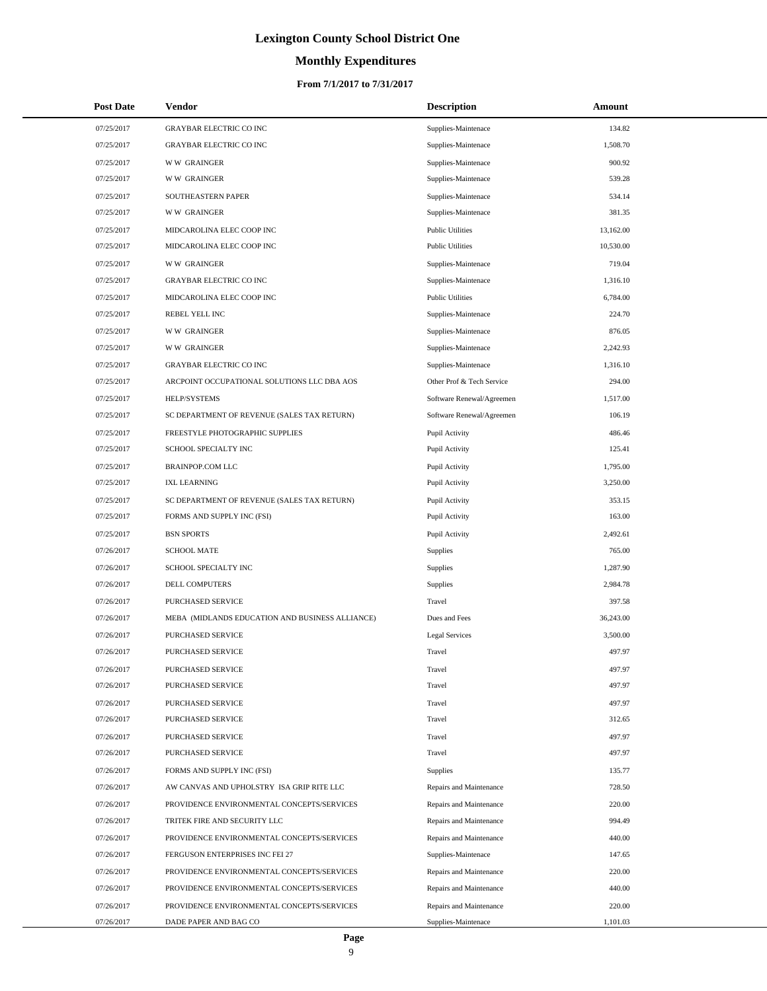# **Monthly Expenditures**

| <b>Post Date</b> | Vendor                                          | <b>Description</b>        | Amount    |  |
|------------------|-------------------------------------------------|---------------------------|-----------|--|
| 07/25/2017       | <b>GRAYBAR ELECTRIC CO INC</b>                  | Supplies-Maintenace       | 134.82    |  |
| 07/25/2017       | <b>GRAYBAR ELECTRIC CO INC</b>                  | Supplies-Maintenace       | 1,508.70  |  |
| 07/25/2017       | <b>WW GRAINGER</b>                              | Supplies-Maintenace       | 900.92    |  |
| 07/25/2017       | <b>WW GRAINGER</b>                              | Supplies-Maintenace       | 539.28    |  |
| 07/25/2017       | SOUTHEASTERN PAPER                              | Supplies-Maintenace       | 534.14    |  |
| 07/25/2017       | <b>WW GRAINGER</b>                              | Supplies-Maintenace       | 381.35    |  |
| 07/25/2017       | MIDCAROLINA ELEC COOP INC                       | <b>Public Utilities</b>   | 13,162.00 |  |
| 07/25/2017       | MIDCAROLINA ELEC COOP INC                       | <b>Public Utilities</b>   | 10,530.00 |  |
| 07/25/2017       | <b>WW GRAINGER</b>                              | Supplies-Maintenace       | 719.04    |  |
| 07/25/2017       | <b>GRAYBAR ELECTRIC CO INC</b>                  | Supplies-Maintenace       | 1,316.10  |  |
| 07/25/2017       | MIDCAROLINA ELEC COOP INC                       | <b>Public Utilities</b>   | 6,784.00  |  |
| 07/25/2017       | REBEL YELL INC                                  | Supplies-Maintenace       | 224.70    |  |
| 07/25/2017       | <b>WW GRAINGER</b>                              | Supplies-Maintenace       | 876.05    |  |
| 07/25/2017       | <b>WW GRAINGER</b>                              | Supplies-Maintenace       | 2.242.93  |  |
| 07/25/2017       | GRAYBAR ELECTRIC CO INC                         | Supplies-Maintenace       | 1,316.10  |  |
| 07/25/2017       | ARCPOINT OCCUPATIONAL SOLUTIONS LLC DBA AOS     | Other Prof & Tech Service | 294.00    |  |
| 07/25/2017       | HELP/SYSTEMS                                    | Software Renewal/Agreemen | 1,517.00  |  |
| 07/25/2017       | SC DEPARTMENT OF REVENUE (SALES TAX RETURN)     | Software Renewal/Agreemen | 106.19    |  |
| 07/25/2017       | FREESTYLE PHOTOGRAPHIC SUPPLIES                 | Pupil Activity            | 486.46    |  |
| 07/25/2017       | SCHOOL SPECIALTY INC                            | Pupil Activity            | 125.41    |  |
| 07/25/2017       | <b>BRAINPOP.COM LLC</b>                         | Pupil Activity            | 1,795.00  |  |
| 07/25/2017       | <b>IXL LEARNING</b>                             | Pupil Activity            | 3,250.00  |  |
| 07/25/2017       | SC DEPARTMENT OF REVENUE (SALES TAX RETURN)     | Pupil Activity            | 353.15    |  |
| 07/25/2017       | FORMS AND SUPPLY INC (FSI)                      | Pupil Activity            | 163.00    |  |
| 07/25/2017       | <b>BSN SPORTS</b>                               | Pupil Activity            | 2,492.61  |  |
| 07/26/2017       | <b>SCHOOL MATE</b>                              | <b>Supplies</b>           | 765.00    |  |
| 07/26/2017       | SCHOOL SPECIALTY INC                            | Supplies                  | 1,287.90  |  |
| 07/26/2017       | DELL COMPUTERS                                  | Supplies                  | 2,984.78  |  |
| 07/26/2017       | <b>PURCHASED SERVICE</b>                        | Travel                    | 397.58    |  |
| 07/26/2017       | MEBA (MIDLANDS EDUCATION AND BUSINESS ALLIANCE) | Dues and Fees             | 36,243.00 |  |
| 07/26/2017       | PURCHASED SERVICE                               | <b>Legal Services</b>     | 3,500.00  |  |
| 07/26/2017       | PURCHASED SERVICE                               | Travel                    | 497.97    |  |
| 07/26/2017       | PURCHASED SERVICE                               | Travel                    | 497.97    |  |
| 07/26/2017       | PURCHASED SERVICE                               | Travel                    | 497.97    |  |
| 07/26/2017       | PURCHASED SERVICE                               | Travel                    | 497.97    |  |
| 07/26/2017       | PURCHASED SERVICE                               | Travel                    | 312.65    |  |
| 07/26/2017       | PURCHASED SERVICE                               | Travel                    | 497.97    |  |
| 07/26/2017       | PURCHASED SERVICE                               | Travel                    | 497.97    |  |
| 07/26/2017       | FORMS AND SUPPLY INC (FSI)                      | Supplies                  | 135.77    |  |
| 07/26/2017       | AW CANVAS AND UPHOLSTRY ISA GRIP RITE LLC       | Repairs and Maintenance   | 728.50    |  |
| 07/26/2017       | PROVIDENCE ENVIRONMENTAL CONCEPTS/SERVICES      | Repairs and Maintenance   | 220.00    |  |
| 07/26/2017       | TRITEK FIRE AND SECURITY LLC                    | Repairs and Maintenance   | 994.49    |  |
| 07/26/2017       | PROVIDENCE ENVIRONMENTAL CONCEPTS/SERVICES      | Repairs and Maintenance   | 440.00    |  |
| 07/26/2017       | FERGUSON ENTERPRISES INC FEI 27                 | Supplies-Maintenace       | 147.65    |  |
| 07/26/2017       | PROVIDENCE ENVIRONMENTAL CONCEPTS/SERVICES      | Repairs and Maintenance   | 220.00    |  |
| 07/26/2017       | PROVIDENCE ENVIRONMENTAL CONCEPTS/SERVICES      | Repairs and Maintenance   | 440.00    |  |
| 07/26/2017       | PROVIDENCE ENVIRONMENTAL CONCEPTS/SERVICES      | Repairs and Maintenance   | 220.00    |  |
| 07/26/2017       | DADE PAPER AND BAG CO                           | Supplies-Maintenace       | 1,101.03  |  |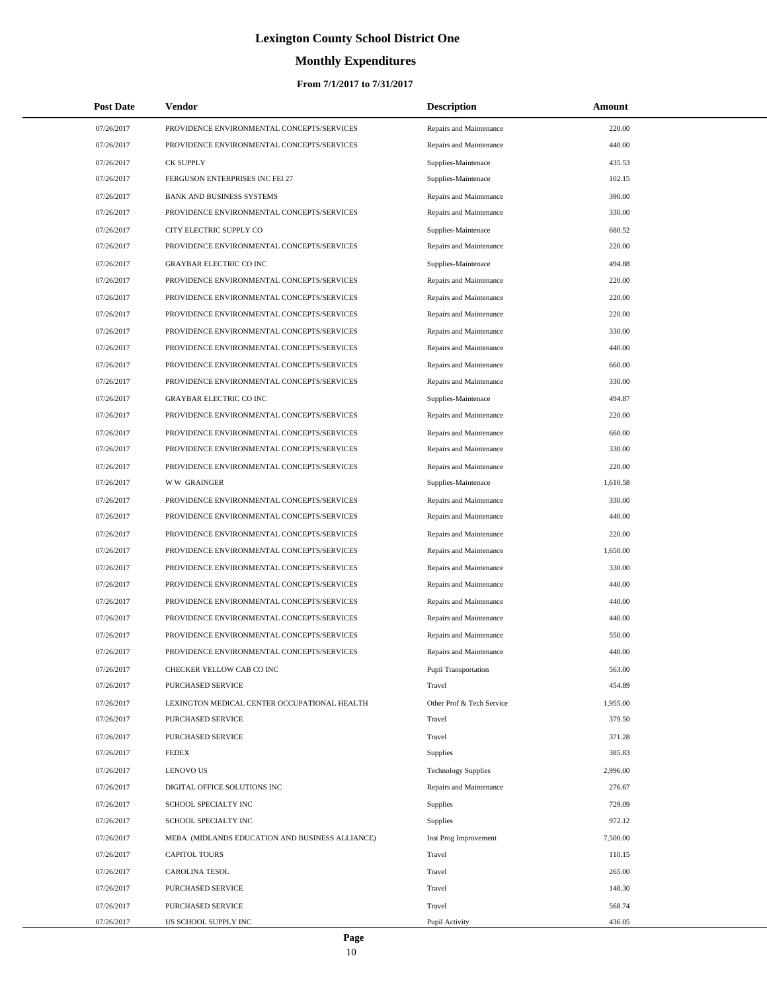# **Monthly Expenditures**

#### **From 7/1/2017 to 7/31/2017**

| <b>Post Date</b> | Vendor                                          | <b>Description</b>          | Amount   |  |
|------------------|-------------------------------------------------|-----------------------------|----------|--|
| 07/26/2017       | PROVIDENCE ENVIRONMENTAL CONCEPTS/SERVICES      | Repairs and Maintenance     | 220.00   |  |
| 07/26/2017       | PROVIDENCE ENVIRONMENTAL CONCEPTS/SERVICES      | Repairs and Maintenance     | 440.00   |  |
| 07/26/2017       | <b>CK SUPPLY</b>                                | Supplies-Maintenace         | 435.53   |  |
| 07/26/2017       | FERGUSON ENTERPRISES INC FEI 27                 | Supplies-Maintenace         | 102.15   |  |
| 07/26/2017       | <b>BANK AND BUSINESS SYSTEMS</b>                | Repairs and Maintenance     | 390.00   |  |
| 07/26/2017       | PROVIDENCE ENVIRONMENTAL CONCEPTS/SERVICES      | Repairs and Maintenance     | 330.00   |  |
| 07/26/2017       | CITY ELECTRIC SUPPLY CO                         | Supplies-Maintenace         | 680.52   |  |
| 07/26/2017       | PROVIDENCE ENVIRONMENTAL CONCEPTS/SERVICES      | Repairs and Maintenance     | 220.00   |  |
| 07/26/2017       | <b>GRAYBAR ELECTRIC CO INC</b>                  | Supplies-Maintenace         | 494.88   |  |
| 07/26/2017       | PROVIDENCE ENVIRONMENTAL CONCEPTS/SERVICES      | Repairs and Maintenance     | 220.00   |  |
| 07/26/2017       | PROVIDENCE ENVIRONMENTAL CONCEPTS/SERVICES      | Repairs and Maintenance     | 220.00   |  |
| 07/26/2017       | PROVIDENCE ENVIRONMENTAL CONCEPTS/SERVICES      | Repairs and Maintenance     | 220.00   |  |
| 07/26/2017       | PROVIDENCE ENVIRONMENTAL CONCEPTS/SERVICES      | Repairs and Maintenance     | 330.00   |  |
| 07/26/2017       | PROVIDENCE ENVIRONMENTAL CONCEPTS/SERVICES      | Repairs and Maintenance     | 440.00   |  |
| 07/26/2017       | PROVIDENCE ENVIRONMENTAL CONCEPTS/SERVICES      | Repairs and Maintenance     | 660.00   |  |
| 07/26/2017       | PROVIDENCE ENVIRONMENTAL CONCEPTS/SERVICES      | Repairs and Maintenance     | 330.00   |  |
| 07/26/2017       | <b>GRAYBAR ELECTRIC CO INC</b>                  | Supplies-Maintenace         | 494.87   |  |
| 07/26/2017       | PROVIDENCE ENVIRONMENTAL CONCEPTS/SERVICES      | Repairs and Maintenance     | 220.00   |  |
| 07/26/2017       | PROVIDENCE ENVIRONMENTAL CONCEPTS/SERVICES      | Repairs and Maintenance     | 660.00   |  |
| 07/26/2017       | PROVIDENCE ENVIRONMENTAL CONCEPTS/SERVICES      | Repairs and Maintenance     | 330.00   |  |
| 07/26/2017       | PROVIDENCE ENVIRONMENTAL CONCEPTS/SERVICES      | Repairs and Maintenance     | 220.00   |  |
| 07/26/2017       | W W GRAINGER                                    | Supplies-Maintenace         | 1,610.58 |  |
| 07/26/2017       | PROVIDENCE ENVIRONMENTAL CONCEPTS/SERVICES      | Repairs and Maintenance     | 330.00   |  |
| 07/26/2017       | PROVIDENCE ENVIRONMENTAL CONCEPTS/SERVICES      | Repairs and Maintenance     | 440.00   |  |
| 07/26/2017       | PROVIDENCE ENVIRONMENTAL CONCEPTS/SERVICES      | Repairs and Maintenance     | 220.00   |  |
| 07/26/2017       | PROVIDENCE ENVIRONMENTAL CONCEPTS/SERVICES      | Repairs and Maintenance     | 1,650.00 |  |
| 07/26/2017       | PROVIDENCE ENVIRONMENTAL CONCEPTS/SERVICES      | Repairs and Maintenance     | 330.00   |  |
| 07/26/2017       | PROVIDENCE ENVIRONMENTAL CONCEPTS/SERVICES      | Repairs and Maintenance     | 440.00   |  |
| 07/26/2017       | PROVIDENCE ENVIRONMENTAL CONCEPTS/SERVICES      | Repairs and Maintenance     | 440.00   |  |
| 07/26/2017       | PROVIDENCE ENVIRONMENTAL CONCEPTS/SERVICES      | Repairs and Maintenance     | 440.00   |  |
| 07/26/2017       | PROVIDENCE ENVIRONMENTAL CONCEPTS/SERVICES      | Repairs and Maintenance     | 550.00   |  |
| 07/26/2017       | PROVIDENCE ENVIRONMENTAL CONCEPTS/SERVICES      | Repairs and Maintenance     | 440.00   |  |
| 07/26/2017       | CHECKER YELLOW CAB CO INC                       | <b>Pupil Transportation</b> | 563.00   |  |
| 07/26/2017       | PURCHASED SERVICE                               | Travel                      | 454.89   |  |
| 07/26/2017       | LEXINGTON MEDICAL CENTER OCCUPATIONAL HEALTH    | Other Prof & Tech Service   | 1,955.00 |  |
| 07/26/2017       | PURCHASED SERVICE                               | Travel                      | 379.50   |  |
| 07/26/2017       | PURCHASED SERVICE                               | Travel                      | 371.28   |  |
| 07/26/2017       | <b>FEDEX</b>                                    | Supplies                    | 385.83   |  |
| 07/26/2017       | <b>LENOVO US</b>                                | <b>Technology Supplies</b>  | 2,996.00 |  |
| 07/26/2017       | DIGITAL OFFICE SOLUTIONS INC                    | Repairs and Maintenance     | 276.67   |  |
| 07/26/2017       | SCHOOL SPECIALTY INC                            | Supplies                    | 729.09   |  |
| 07/26/2017       | SCHOOL SPECIALTY INC                            | Supplies                    | 972.12   |  |
| 07/26/2017       | MEBA (MIDLANDS EDUCATION AND BUSINESS ALLIANCE) | Inst Prog Improvement       | 7,500.00 |  |
| 07/26/2017       | <b>CAPITOL TOURS</b>                            | Travel                      | 110.15   |  |
| 07/26/2017       | <b>CAROLINA TESOL</b>                           | Travel                      | 265.00   |  |
| 07/26/2017       | PURCHASED SERVICE                               | Travel                      | 148.30   |  |
| 07/26/2017       | PURCHASED SERVICE                               | Travel                      | 568.74   |  |
| 07/26/2017       | US SCHOOL SUPPLY INC                            | Pupil Activity              | 436.05   |  |